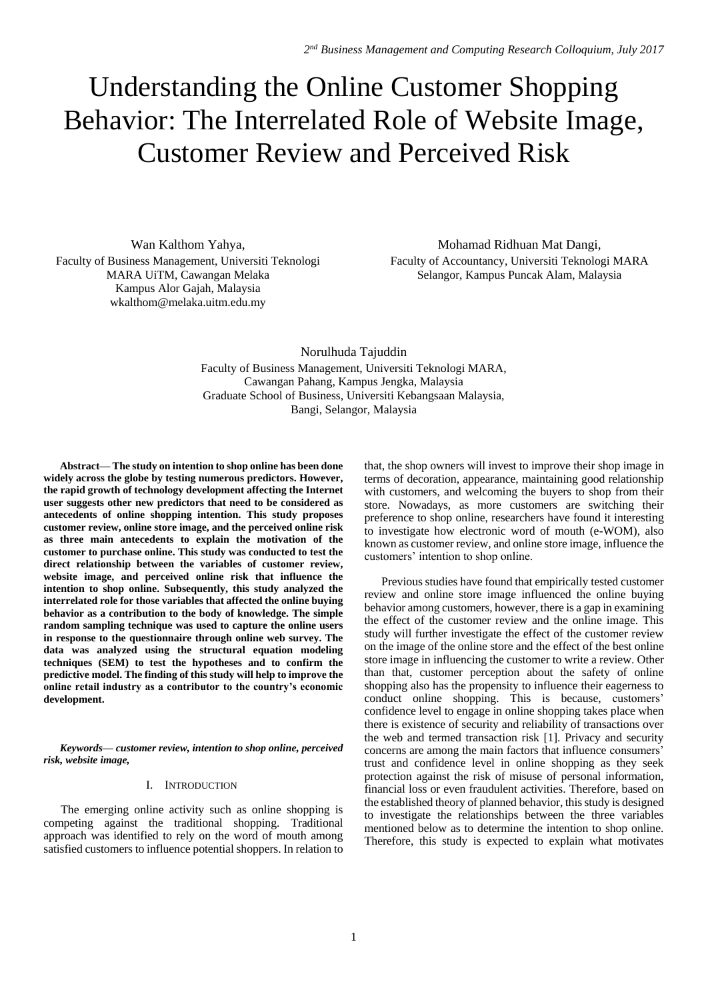# Understanding the Online Customer Shopping Behavior: The Interrelated Role of Website Image, Customer Review and Perceived Risk

Wan Kalthom Yahya, Faculty of Business Management, Universiti Teknologi MARA UiTM, Cawangan Melaka Kampus Alor Gajah, Malaysia wkalthom@melaka.uitm.edu.my

Mohamad Ridhuan Mat Dangi, Faculty of Accountancy, Universiti Teknologi MARA Selangor, Kampus Puncak Alam, Malaysia

Norulhuda Tajuddin Faculty of Business Management, Universiti Teknologi MARA, Cawangan Pahang, Kampus Jengka, Malaysia Graduate School of Business, Universiti Kebangsaan Malaysia, Bangi, Selangor, Malaysia

**Abstract— The study on intention to shop online has been done widely across the globe by testing numerous predictors. However, the rapid growth of technology development affecting the Internet user suggests other new predictors that need to be considered as antecedents of online shopping intention. This study proposes customer review, online store image, and the perceived online risk as three main antecedents to explain the motivation of the customer to purchase online. This study was conducted to test the direct relationship between the variables of customer review, website image, and perceived online risk that influence the intention to shop online. Subsequently, this study analyzed the interrelated role for those variables that affected the online buying behavior as a contribution to the body of knowledge. The simple random sampling technique was used to capture the online users in response to the questionnaire through online web survey. The data was analyzed using the structural equation modeling techniques (SEM) to test the hypotheses and to confirm the predictive model. The finding of this study will help to improve the online retail industry as a contributor to the country's economic development.**

*Keywords— customer review, intention to shop online, perceived risk, website image,* 

# I. INTRODUCTION

The emerging online activity such as online shopping is competing against the traditional shopping. Traditional approach was identified to rely on the word of mouth among satisfied customers to influence potential shoppers. In relation to

that, the shop owners will invest to improve their shop image in terms of decoration, appearance, maintaining good relationship with customers, and welcoming the buyers to shop from their store. Nowadays, as more customers are switching their preference to shop online, researchers have found it interesting to investigate how electronic word of mouth (e-WOM), also known as customer review, and online store image, influence the customers' intention to shop online.

Previous studies have found that empirically tested customer review and online store image influenced the online buying behavior among customers, however, there is a gap in examining the effect of the customer review and the online image. This study will further investigate the effect of the customer review on the image of the online store and the effect of the best online store image in influencing the customer to write a review. Other than that, customer perception about the safety of online shopping also has the propensity to influence their eagerness to conduct online shopping. This is because, customers' confidence level to engage in online shopping takes place when there is existence of security and reliability of transactions over the web and termed transaction risk [1]. Privacy and security concerns are among the main factors that influence consumers' trust and confidence level in online shopping as they seek protection against the risk of misuse of personal information, financial loss or even fraudulent activities. Therefore, based on the established theory of planned behavior, this study is designed to investigate the relationships between the three variables mentioned below as to determine the intention to shop online. Therefore, this study is expected to explain what motivates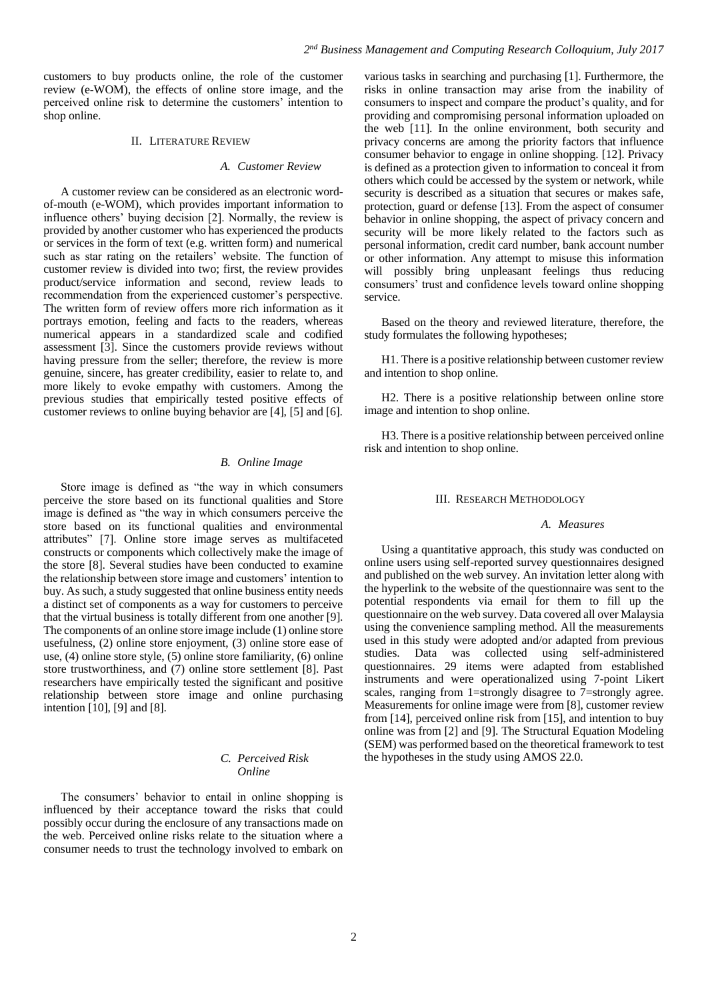customers to buy products online, the role of the customer review (e-WOM), the effects of online store image, and the perceived online risk to determine the customers' intention to shop online.

#### II. LITERATURE REVIEW

#### *A. Customer Review*

A customer review can be considered as an electronic wordof-mouth (e-WOM), which provides important information to influence others' buying decision [2]. Normally, the review is provided by another customer who has experienced the products or services in the form of text (e.g. written form) and numerical such as star rating on the retailers' website. The function of customer review is divided into two; first, the review provides product/service information and second, review leads to recommendation from the experienced customer's perspective. The written form of review offers more rich information as it portrays emotion, feeling and facts to the readers, whereas numerical appears in a standardized scale and codified assessment [3]. Since the customers provide reviews without having pressure from the seller; therefore, the review is more genuine, sincere, has greater credibility, easier to relate to, and more likely to evoke empathy with customers. Among the previous studies that empirically tested positive effects of customer reviews to online buying behavior are [4], [5] and [6].

#### *B. Online Image*

Store image is defined as "the way in which consumers perceive the store based on its functional qualities and Store image is defined as "the way in which consumers perceive the store based on its functional qualities and environmental attributes" [7]. Online store image serves as multifaceted constructs or components which collectively make the image of the store [8]. Several studies have been conducted to examine the relationship between store image and customers' intention to buy. As such, a study suggested that online business entity needs a distinct set of components as a way for customers to perceive that the virtual business is totally different from one another [9]. The components of an online store image include (1) online store usefulness, (2) online store enjoyment, (3) online store ease of use, (4) online store style, (5) online store familiarity, (6) online store trustworthiness, and (7) online store settlement [8]. Past researchers have empirically tested the significant and positive relationship between store image and online purchasing intention  $[10]$ ,  $[9]$  and  $[8]$ .

## *C. Perceived Risk Online*

The consumers' behavior to entail in online shopping is influenced by their acceptance toward the risks that could possibly occur during the enclosure of any transactions made on the web. Perceived online risks relate to the situation where a consumer needs to trust the technology involved to embark on

various tasks in searching and purchasing [1]. Furthermore, the risks in online transaction may arise from the inability of consumers to inspect and compare the product's quality, and for providing and compromising personal information uploaded on the web [11]. In the online environment, both security and privacy concerns are among the priority factors that influence consumer behavior to engage in online shopping. [12]. Privacy is defined as a protection given to information to conceal it from others which could be accessed by the system or network, while security is described as a situation that secures or makes safe, protection, guard or defense [13]. From the aspect of consumer behavior in online shopping, the aspect of privacy concern and security will be more likely related to the factors such as personal information, credit card number, bank account number or other information. Any attempt to misuse this information will possibly bring unpleasant feelings thus reducing consumers' trust and confidence levels toward online shopping service.

Based on the theory and reviewed literature, therefore, the study formulates the following hypotheses;

H1. There is a positive relationship between customer review and intention to shop online.

H2. There is a positive relationship between online store image and intention to shop online.

H3. There is a positive relationship between perceived online risk and intention to shop online.

#### III. RESEARCH METHODOLOGY

#### *A. Measures*

Using a quantitative approach, this study was conducted on online users using self-reported survey questionnaires designed and published on the web survey. An invitation letter along with the hyperlink to the website of the questionnaire was sent to the potential respondents via email for them to fill up the questionnaire on the web survey. Data covered all over Malaysia using the convenience sampling method. All the measurements used in this study were adopted and/or adapted from previous studies. Data was collected using self-administered questionnaires. 29 items were adapted from established instruments and were operationalized using 7-point Likert scales, ranging from 1=strongly disagree to 7=strongly agree. Measurements for online image were from [8], customer review from [14], perceived online risk from [15], and intention to buy online was from [2] and [9]. The Structural Equation Modeling (SEM) was performed based on the theoretical framework to test the hypotheses in the study using AMOS 22.0.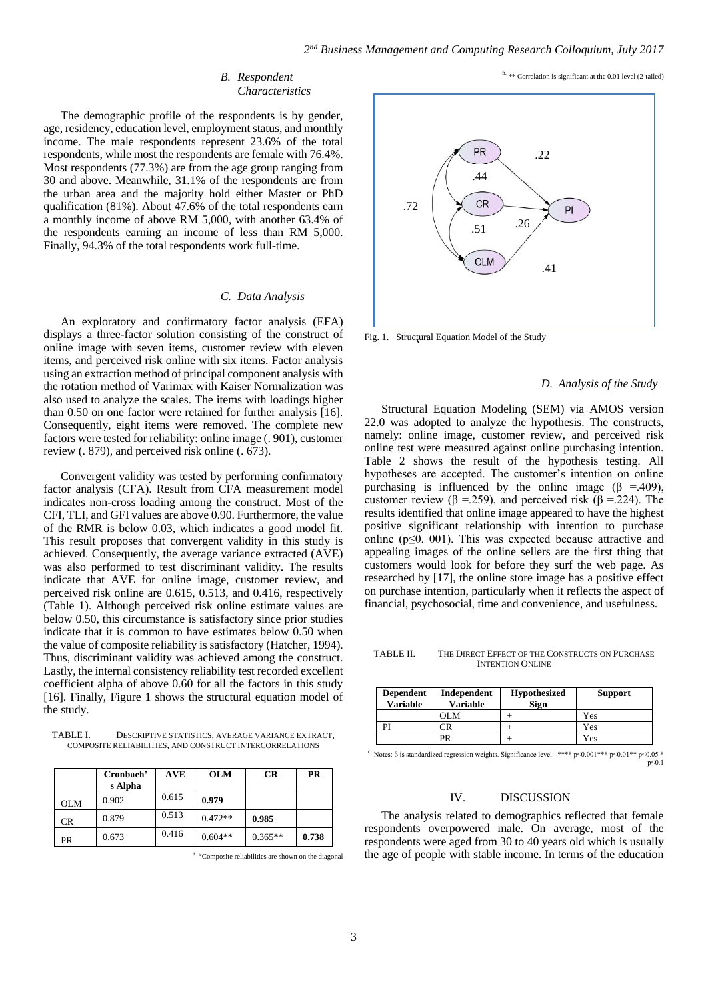#### *B. Respondent Characteristics*

The demographic profile of the respondents is by gender, age, residency, education level, employment status, and monthly income. The male respondents represent 23.6% of the total respondents, while most the respondents are female with 76.4%. Most respondents (77.3%) are from the age group ranging from 30 and above. Meanwhile, 31.1% of the respondents are from the urban area and the majority hold either Master or PhD qualification (81%). About  $47.6\%$  of the total respondents earn a monthly income of above RM 5,000, with another 63.4% of the respondents earning an income of less than RM 5,000. Finally, 94.3% of the total respondents work full-time.

#### *C. Data Analysis*

An exploratory and confirmatory factor analysis (EFA) displays a three-factor solution consisting of the construct of online image with seven items, customer review with eleven items, and perceived risk online with six items. Factor analysis using an extraction method of principal component analysis with the rotation method of Varimax with Kaiser Normalization was also used to analyze the scales. The items with loadings higher than 0.50 on one factor were retained for further analysis [16]. Consequently, eight items were removed. The complete new factors were tested for reliability: online image (. 901), customer review (. 879), and perceived risk online (. 673).

Convergent validity was tested by performing confirmatory factor analysis (CFA). Result from CFA measurement model indicates non-cross loading among the construct. Most of the CFI, TLI, and GFI values are above 0.90. Furthermore, the value of the RMR is below 0.03, which indicates a good model fit. This result proposes that convergent validity in this study is achieved. Consequently, the average variance extracted (AVE) was also performed to test discriminant validity. The results indicate that AVE for online image, customer review, and perceived risk online are 0.615, 0.513, and 0.416, respectively (Table 1). Although perceived risk online estimate values are below 0.50, this circumstance is satisfactory since prior studies indicate that it is common to have estimates below 0.50 when the value of composite reliability is satisfactory (Hatcher, 1994). Thus, discriminant validity was achieved among the construct. Lastly, the internal consistency reliability test recorded excellent coefficient alpha of above 0.60 for all the factors in this study [16]. Finally, Figure 1 shows the structural equation model of the study.

TABLE I. DESCRIPTIVE STATISTICS, AVERAGE VARIANCE EXTRACT COMPOSITE RELIABILITIES, AND CONSTRUCT INTERCORRELATIONS

|            | Cronbach'<br>s Alpha | <b>AVE</b> | <b>OLM</b> | <b>CR</b> | <b>PR</b> |
|------------|----------------------|------------|------------|-----------|-----------|
| <b>OLM</b> | 0.902                | 0.615      | 0.979      |           |           |
| CR.        | 0.879                | 0.513      | $0.472**$  | 0.985     |           |
| PR         | 0.673                | 0.416      | $0.604**$  | $0.365**$ | 0.738     |

a. a Composite reliabilities are shown on the diagonal

b. \*\* Correlation is significant at the 0.01 level (2-tailed)



Fig. 1. Structural Equation Model of the Study

#### *D. Analysis of the Study*

Structural Equation Modeling (SEM) via AMOS version 22.0 was adopted to analyze the hypothesis. The constructs, namely: online image, customer review, and perceived risk online test were measured against online purchasing intention. Table 2 shows the result of the hypothesis testing. All hypotheses are accepted. The customer's intention on online purchasing is influenced by the online image ( $\beta$  =.409), customer review ( $\beta = 259$ ), and perceived risk ( $\beta = 224$ ). The results identified that online image appeared to have the highest positive significant relationship with intention to purchase online (p≤0. 001). This was expected because attractive and appealing images of the online sellers are the first thing that customers would look for before they surf the web page. As researched by [17], the online store image has a positive effect on purchase intention, particularly when it reflects the aspect of financial, psychosocial, time and convenience, and usefulness.

TABLE II. THE DIRECT EFFECT OF THE CONSTRUCTS ON PURCHASE INTENTION ONLINE

| <b>Dependent</b><br><b>Variable</b> | Independent<br><b>Variable</b> | <b>Hypothesized</b><br><b>Sign</b> | <b>Support</b> |
|-------------------------------------|--------------------------------|------------------------------------|----------------|
|                                     | OLM.                           |                                    | Yes            |
|                                     |                                |                                    | Yes            |
|                                     | PR                             |                                    | Yes            |

<sup>c.</sup> Notes: β is standardized regression weights. Significance level: \*\*\*\*  $p \le 0.001$ \*\*\*  $p \le 0.01$ \*\*  $p \le 0.05$ p≤0.1

#### IV. DISCUSSION

The analysis related to demographics reflected that female respondents overpowered male. On average, most of the respondents were aged from 30 to 40 years old which is usually the age of people with stable income. In terms of the education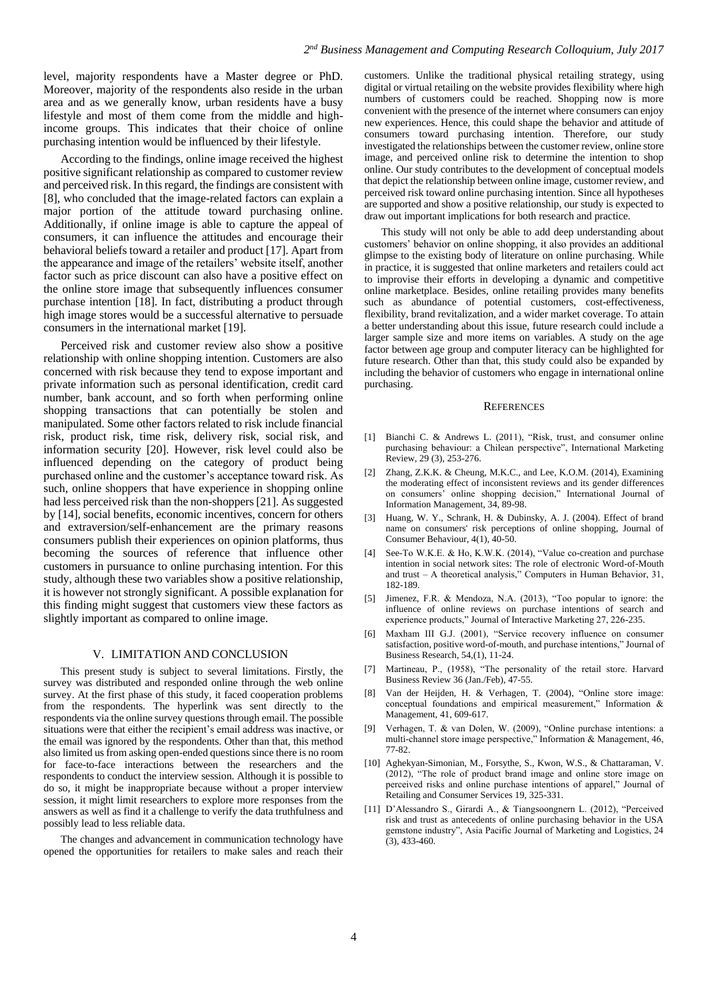level, majority respondents have a Master degree or PhD. Moreover, majority of the respondents also reside in the urban area and as we generally know, urban residents have a busy lifestyle and most of them come from the middle and highincome groups. This indicates that their choice of online purchasing intention would be influenced by their lifestyle.

According to the findings, online image received the highest positive significant relationship as compared to customer review and perceived risk. In this regard, the findings are consistent with [8], who concluded that the image-related factors can explain a major portion of the attitude toward purchasing online. Additionally, if online image is able to capture the appeal of consumers, it can influence the attitudes and encourage their behavioral beliefs toward a retailer and product [17]. Apart from the appearance and image of the retailers' website itself, another factor such as price discount can also have a positive effect on the online store image that subsequently influences consumer purchase intention [18]. In fact, distributing a product through high image stores would be a successful alternative to persuade consumers in the international market [19].

Perceived risk and customer review also show a positive relationship with online shopping intention. Customers are also concerned with risk because they tend to expose important and private information such as personal identification, credit card number, bank account, and so forth when performing online shopping transactions that can potentially be stolen and manipulated. Some other factors related to risk include financial risk, product risk, time risk, delivery risk, social risk, and information security [20]. However, risk level could also be influenced depending on the category of product being purchased online and the customer's acceptance toward risk. As such, online shoppers that have experience in shopping online had less perceived risk than the non-shoppers [21]. As suggested by [14], social benefits, economic incentives, concern for others and extraversion/self-enhancement are the primary reasons consumers publish their experiences on opinion platforms, thus becoming the sources of reference that influence other customers in pursuance to online purchasing intention. For this study, although these two variables show a positive relationship, it is however not strongly significant. A possible explanation for this finding might suggest that customers view these factors as slightly important as compared to online image.

#### V. LIMITATION AND CONCLUSION

This present study is subject to several limitations. Firstly, the survey was distributed and responded online through the web online survey. At the first phase of this study, it faced cooperation problems from the respondents. The hyperlink was sent directly to the respondents via the online survey questions through email. The possible situations were that either the recipient's email address was inactive, or the email was ignored by the respondents. Other than that, this method also limited us from asking open-ended questions since there is no room for face-to-face interactions between the researchers and the respondents to conduct the interview session. Although it is possible to do so, it might be inappropriate because without a proper interview session, it might limit researchers to explore more responses from the answers as well as find it a challenge to verify the data truthfulness and possibly lead to less reliable data.

The changes and advancement in communication technology have opened the opportunities for retailers to make sales and reach their customers. Unlike the traditional physical retailing strategy, using digital or virtual retailing on the website provides flexibility where high numbers of customers could be reached. Shopping now is more convenient with the presence of the internet where consumers can enjoy new experiences. Hence, this could shape the behavior and attitude of consumers toward purchasing intention. Therefore, our study investigated the relationships between the customer review, online store image, and perceived online risk to determine the intention to shop online. Our study contributes to the development of conceptual models that depict the relationship between online image, customer review, and perceived risk toward online purchasing intention. Since all hypotheses are supported and show a positive relationship, our study is expected to draw out important implications for both research and practice.

This study will not only be able to add deep understanding about customers' behavior on online shopping, it also provides an additional glimpse to the existing body of literature on online purchasing. While in practice, it is suggested that online marketers and retailers could act to improvise their efforts in developing a dynamic and competitive online marketplace. Besides, online retailing provides many benefits such as abundance of potential customers, cost-effectiveness, flexibility, brand revitalization, and a wider market coverage. To attain a better understanding about this issue, future research could include a larger sample size and more items on variables. A study on the age factor between age group and computer literacy can be highlighted for future research. Other than that, this study could also be expanded by including the behavior of customers who engage in international online purchasing.

#### **REFERENCES**

- [1] Bianchi C. & Andrews L. (2011), "Risk, trust, and consumer online purchasing behaviour: a Chilean perspective", International Marketing Review, 29 (3), 253-276.
- [2] Zhang, Z.K.K. & Cheung, M.K.C., and Lee, K.O.M. (2014), Examining the moderating effect of inconsistent reviews and its gender differences on consumers' online shopping decision," International Journal of Information Management, 34, 89-98.
- [3] Huang, W. Y., Schrank, H. & Dubinsky, A. J. (2004). Effect of brand name on consumers' risk perceptions of online shopping, Journal of Consumer Behaviour, 4(1), 40-50.
- [4] See-To W.K.E. & Ho, K.W.K. (2014), "Value co-creation and purchase intention in social network sites: The role of electronic Word-of-Mouth and trust – A theoretical analysis," Computers in Human Behavior, 31, 182-189.
- [5] Jimenez, F.R. & Mendoza, N.A. (2013), "Too popular to ignore: the influence of online reviews on purchase intentions of search and experience products," Journal of Interactive Marketing 27, 226-235.
- [6] Maxham III G.J. (2001), "Service recovery influence on consumer satisfaction, positive word-of-mouth, and purchase intentions," Journal of Business Research, 54,(1), 11-24.
- Martineau, P., (1958), "The personality of the retail store. Harvard Business Review 36 (Jan./Feb), 47-55.
- [8] Van der Heijden, H. & Verhagen, T. (2004), "Online store image: conceptual foundations and empirical measurement," Information & Management, 41, 609-617.
- [9] Verhagen, T. & van Dolen, W. (2009), "Online purchase intentions: a multi-channel store image perspective," Information & Management, 46, 77-82.
- [10] Aghekyan-Simonian, M., Forsythe, S., Kwon, W.S., & Chattaraman, V. (2012), "The role of product brand image and online store image on perceived risks and online purchase intentions of apparel," Journal of Retailing and Consumer Services 19, 325-331.
- [11] D'Alessandro S., Girardi A., & Tiangsoongnern L. (2012), "Perceived risk and trust as antecedents of online purchasing behavior in the USA gemstone industry", Asia Pacific Journal of Marketing and Logistics, 24 (3), 433-460.